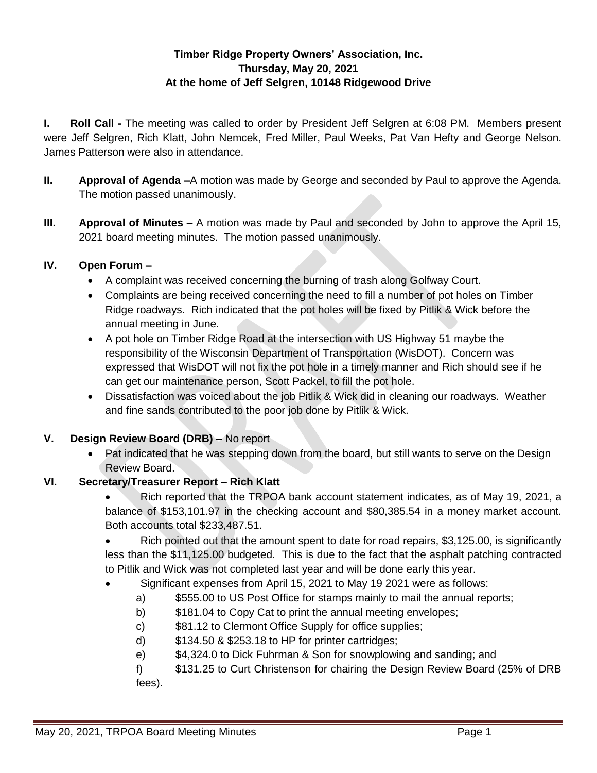# **Timber Ridge Property Owners' Association, Inc. Thursday, May 20, 2021 At the home of Jeff Selgren, 10148 Ridgewood Drive**

**I. Roll Call -** The meeting was called to order by President Jeff Selgren at 6:08 PM. Members present were Jeff Selgren, Rich Klatt, John Nemcek, Fred Miller, Paul Weeks, Pat Van Hefty and George Nelson. James Patterson were also in attendance.

- **II. Approval of Agenda –**A motion was made by George and seconded by Paul to approve the Agenda. The motion passed unanimously.
- **III. Approval of Minutes –** A motion was made by Paul and seconded by John to approve the April 15, 2021 board meeting minutes. The motion passed unanimously.

## **IV. Open Forum –**

- A complaint was received concerning the burning of trash along Golfway Court.
- Complaints are being received concerning the need to fill a number of pot holes on Timber Ridge roadways. Rich indicated that the pot holes will be fixed by Pitlik & Wick before the annual meeting in June.
- A pot hole on Timber Ridge Road at the intersection with US Highway 51 maybe the responsibility of the Wisconsin Department of Transportation (WisDOT). Concern was expressed that WisDOT will not fix the pot hole in a timely manner and Rich should see if he can get our maintenance person, Scott Packel, to fill the pot hole.
- Dissatisfaction was voiced about the job Pitlik & Wick did in cleaning our roadways. Weather and fine sands contributed to the poor job done by Pitlik & Wick.

## **V. Design Review Board (DRB)** – No report

 Pat indicated that he was stepping down from the board, but still wants to serve on the Design Review Board.

## **VI. Secretary/Treasurer Report – Rich Klatt**

• Rich reported that the TRPOA bank account statement indicates, as of May 19, 2021, a balance of \$153,101.97 in the checking account and \$80,385.54 in a money market account. Both accounts total \$233,487.51.

• Rich pointed out that the amount spent to date for road repairs, \$3,125.00, is significantly less than the \$11,125.00 budgeted. This is due to the fact that the asphalt patching contracted to Pitlik and Wick was not completed last year and will be done early this year.

- Significant expenses from April 15, 2021 to May 19 2021 were as follows:
	- a) \$555.00 to US Post Office for stamps mainly to mail the annual reports;
	- b)  $$181.04$  to Copy Cat to print the annual meeting envelopes;
	- c) \$81.12 to Clermont Office Supply for office supplies;
	- d) \$134.50 & \$253.18 to HP for printer cartridges;
	- e) \$4,324.0 to Dick Fuhrman & Son for snowplowing and sanding; and

f) \$131.25 to Curt Christenson for chairing the Design Review Board (25% of DRB fees).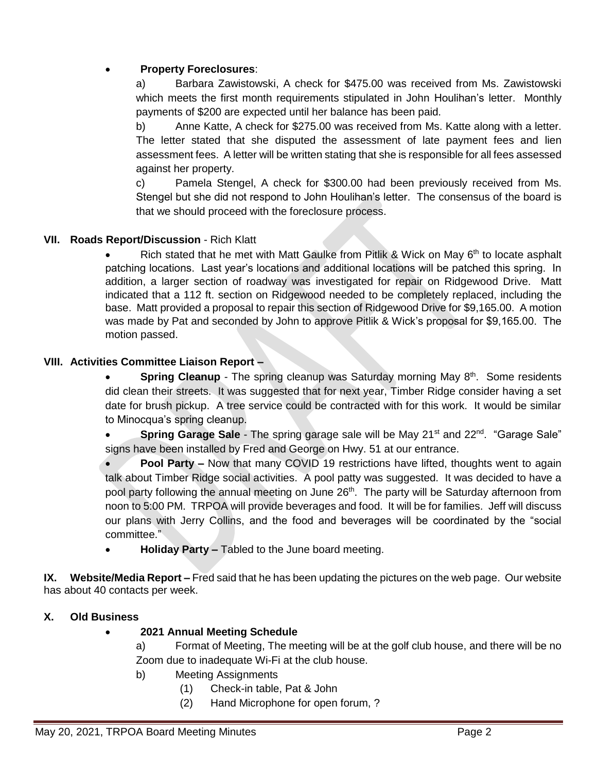## **Property Foreclosures**:

a) Barbara Zawistowski, A check for \$475.00 was received from Ms. Zawistowski which meets the first month requirements stipulated in John Houlihan's letter. Monthly payments of \$200 are expected until her balance has been paid.

b) Anne Katte, A check for \$275.00 was received from Ms. Katte along with a letter. The letter stated that she disputed the assessment of late payment fees and lien assessment fees. A letter will be written stating that she is responsible for all fees assessed against her property.

c) Pamela Stengel, A check for \$300.00 had been previously received from Ms. Stengel but she did not respond to John Houlihan's letter. The consensus of the board is that we should proceed with the foreclosure process.

## **VII. Roads Report/Discussion** - Rich Klatt

Rich stated that he met with Matt Gaulke from Pitlik & Wick on May  $6<sup>th</sup>$  to locate asphalt patching locations. Last year's locations and additional locations will be patched this spring. In addition, a larger section of roadway was investigated for repair on Ridgewood Drive. Matt indicated that a 112 ft. section on Ridgewood needed to be completely replaced, including the base. Matt provided a proposal to repair this section of Ridgewood Drive for \$9,165.00. A motion was made by Pat and seconded by John to approve Pitlik & Wick's proposal for \$9,165.00. The motion passed.

## **VIII. Activities Committee Liaison Report –**

• **Spring Cleanup** - The spring cleanup was Saturday morning May 8<sup>th</sup>. Some residents did clean their streets. It was suggested that for next year, Timber Ridge consider having a set date for brush pickup. A tree service could be contracted with for this work. It would be similar to Minocqua's spring cleanup.

**Spring Garage Sale** - The spring garage sale will be May 21<sup>st</sup> and 22<sup>nd</sup>. "Garage Sale" signs have been installed by Fred and George on Hwy. 51 at our entrance.

 **Pool Party –** Now that many COVID 19 restrictions have lifted, thoughts went to again talk about Timber Ridge social activities. A pool patty was suggested. It was decided to have a pool party following the annual meeting on June 26<sup>th</sup>. The party will be Saturday afternoon from noon to 5:00 PM. TRPOA will provide beverages and food. It will be for families. Jeff will discuss our plans with Jerry Collins, and the food and beverages will be coordinated by the "social committee."

**Holiday Party –** Tabled to the June board meeting.

**IX. Website/Media Report –** Fred said that he has been updating the pictures on the web page. Our website has about 40 contacts per week.

## **X. Old Business**

## **2021 Annual Meeting Schedule**

a) Format of Meeting, The meeting will be at the golf club house, and there will be no Zoom due to inadequate Wi-Fi at the club house.

- b) Meeting Assignments
	- (1) Check-in table, Pat & John
	- (2) Hand Microphone for open forum, ?